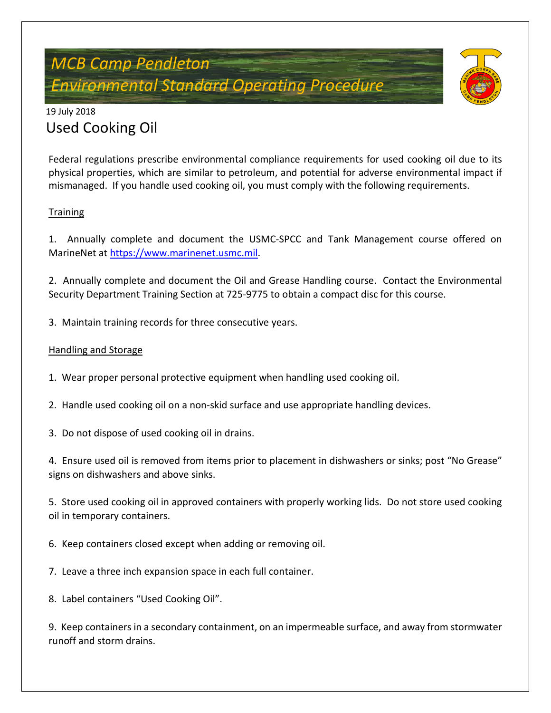# *MCB Camp Pendleton Environmental Standard Operating Procedure*



### 19 July 2018 Used Cooking Oil

Federal regulations prescribe environmental compliance requirements for used cooking oil due to its physical properties, which are similar to petroleum, and potential for adverse environmental impact if mismanaged. If you handle used cooking oil, you must comply with the following requirements.

### **Training**

1. Annually complete and document the USMC-SPCC and Tank Management course offered on MarineNet at [https://www.marinenet.usmc.mil.](https://www.marinenet.usmc.mil/)

2. Annually complete and document the Oil and Grease Handling course. Contact the Environmental Security Department Training Section at 725-9775 to obtain a compact disc for this course.

3. Maintain training records for three consecutive years.

### Handling and Storage

1. Wear proper personal protective equipment when handling used cooking oil.

2. Handle used cooking oil on a non-skid surface and use appropriate handling devices.

3. Do not dispose of used cooking oil in drains.

4. Ensure used oil is removed from items prior to placement in dishwashers or sinks; post "No Grease" signs on dishwashers and above sinks.

5. Store used cooking oil in approved containers with properly working lids. Do not store used cooking oil in temporary containers.

6. Keep containers closed except when adding or removing oil.

7. Leave a three inch expansion space in each full container.

8. Label containers "Used Cooking Oil".

9. Keep containers in a secondary containment, on an impermeable surface, and away from stormwater runoff and storm drains.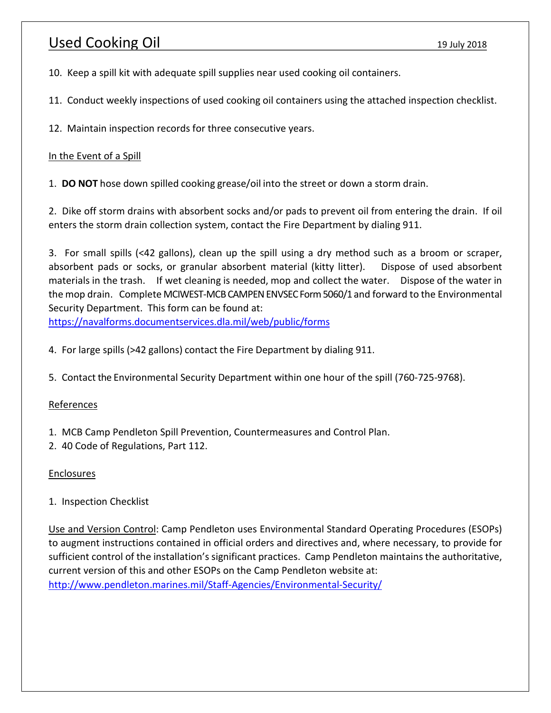# Used Cooking Oil 19 July 2018

10. Keep a spill kit with adequate spill supplies near used cooking oil containers.

11. Conduct weekly inspections of used cooking oil containers using the attached inspection checklist.

12. Maintain inspection records for three consecutive years.

#### In the Event of a Spill

1. **DO NOT** hose down spilled cooking grease/oil into the street or down a storm drain.

2. Dike off storm drains with absorbent socks and/or pads to prevent oil from entering the drain. If oil enters the storm drain collection system, contact the Fire Department by dialing 911.

3. For small spills (<42 gallons), clean up the spill using a dry method such as a broom or scraper, absorbent pads or socks, or granular absorbent material (kitty litter). Dispose of used absorbent materials in the trash. If wet cleaning is needed, mop and collect the water. Dispose of the water in the mop drain. Complete MCIWEST-MCB CAMPEN ENVSEC Form 5060/1 and forward to the Environmental Security Department. This form can be found at: <https://navalforms.documentservices.dla.mil/web/public/forms>

- 4. For large spills (>42 gallons) contact the Fire Department by dialing 911.
- 5. Contact the Environmental Security Department within one hour of the spill (760-725-9768).

#### **References**

- 1. MCB Camp Pendleton Spill Prevention, Countermeasures and Control Plan.
- 2. 40 Code of Regulations, Part 112.

#### Enclosures

1. Inspection Checklist

Use and Version Control: Camp Pendleton uses Environmental Standard Operating Procedures (ESOPs) to augment instructions contained in official orders and directives and, where necessary, to provide for sufficient control of the installation's significant practices. Camp Pendleton maintains the authoritative, current version of this and other ESOPs on the Camp Pendleton website at: <http://www.pendleton.marines.mil/Staff-Agencies/Environmental-Security/>